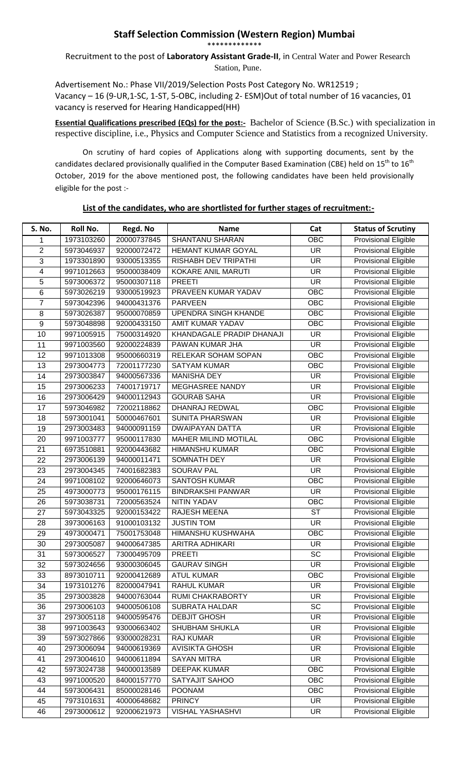## **Staff Selection Commission (Western Region) Mumbai** \*\*\*\*\*\*\*\*\*\*\*\*\*

Recruitment to the post of **Laboratory Assistant Grade-II**, in Central Water and Power Research Station, Pune.

Advertisement No.: Phase VII/2019/Selection Posts Post Category No. WR12519 ; Vacancy – 16 (9-UR,1-SC, 1-ST, 5-OBC, including 2- ESM)Out of total number of 16 vacancies, 01 vacancy is reserved for Hearing Handicapped(HH)

**Essential Qualifications prescribed (EQs) for the post:-** Bachelor of Science (B.Sc.) with specialization in respective discipline, i.e., Physics and Computer Science and Statistics from a recognized University.

On scrutiny of hard copies of Applications along with supporting documents, sent by the candidates declared provisionally qualified in the Computer Based Examination (CBE) held on 15<sup>th</sup> to 16<sup>th</sup> October, 2019 for the above mentioned post, the following candidates have been held provisionally eligible for the post :-

## **List of the candidates, who are shortlisted for further stages of recruitment:-**

| S. No.          | <b>Roll No.</b> | Regd. No    | <b>Name</b>                 | Cat                      | <b>Status of Scrutiny</b>   |
|-----------------|-----------------|-------------|-----------------------------|--------------------------|-----------------------------|
| 1               | 1973103260      | 20000737845 | <b>SHANTANU SHARAN</b>      | OBC                      | <b>Provisional Eligible</b> |
| $\overline{2}$  | 5973046937      | 92000072472 | <b>HEMANT KUMAR GOYAL</b>   | $\overline{\mathsf{UR}}$ | <b>Provisional Eligible</b> |
| 3               | 1973301890      | 93000513355 | RISHABH DEV TRIPATHI        | <b>UR</b>                | <b>Provisional Eligible</b> |
| 4               | 9971012663      | 95000038409 | KOKARE ANIL MARUTI          | <b>UR</b>                | <b>Provisional Eligible</b> |
| 5               | 5973006372      | 95000307118 | <b>PREETI</b>               | $\overline{\mathsf{UR}}$ | <b>Provisional Eligible</b> |
| 6               | 5973026219      | 93000519923 | PRAVEEN KUMAR YADAV         | <b>OBC</b>               | <b>Provisional Eligible</b> |
| $\overline{7}$  | 5973042396      | 94000431376 | <b>PARVEEN</b>              | OBC                      | <b>Provisional Eligible</b> |
| 8               | 5973026387      | 95000070859 | <b>UPENDRA SINGH KHANDE</b> | OBC                      | Provisional Eligible        |
| $\overline{9}$  | 5973048898      | 92000433150 | <b>AMIT KUMAR YADAV</b>     | OBC                      | <b>Provisional Eligible</b> |
| 10              | 9971005915      | 75000314920 | KHANDAGALE PRADIP DHANAJI   | <b>UR</b>                | <b>Provisional Eligible</b> |
| 11              | 9971003560      | 92000224839 | PAWAN KUMAR JHA             | <b>UR</b>                | <b>Provisional Eligible</b> |
| 12              | 9971013308      | 95000660319 | RELEKAR SOHAM SOPAN         | <b>OBC</b>               | <b>Provisional Eligible</b> |
| 13              | 2973004773      | 72001177230 | <b>SATYAM KUMAR</b>         | OBC                      | <b>Provisional Eligible</b> |
| 14              | 2973003847      | 94000567336 | <b>MANISHA DEY</b>          | <b>UR</b>                | <b>Provisional Eligible</b> |
| 15              | 2973006233      | 74001719717 | MEGHASREE NANDY             | <b>UR</b>                | <b>Provisional Eligible</b> |
| 16              | 2973006429      | 94000112943 | <b>GOURAB SAHA</b>          | <b>UR</b>                | <b>Provisional Eligible</b> |
| 17              | 5973046982      | 72002118862 | DHANRAJ REDWAL              | <b>OBC</b>               | <b>Provisional Eligible</b> |
| 18              | 5973001041      | 50000467601 | <b>SUNITA PHARSWAN</b>      | <b>UR</b>                | <b>Provisional Eligible</b> |
| 19              | 2973003483      | 94000091159 | <b>DWAIPAYAN DATTA</b>      | <b>UR</b>                | <b>Provisional Eligible</b> |
| 20              | 9971003777      | 95000117830 | <b>MAHER MILIND MOTILAL</b> | OBC                      | <b>Provisional Eligible</b> |
| 21              | 6973510881      | 92000443682 | <b>HIMANSHU KUMAR</b>       | OBC                      | <b>Provisional Eligible</b> |
| 22              | 2973006139      | 94000011471 | SOMNATH DEY                 | <b>UR</b>                | <b>Provisional Eligible</b> |
| 23              | 2973004345      | 74001682383 | <b>SOURAV PAL</b>           | <b>UR</b>                | <b>Provisional Eligible</b> |
| $\overline{24}$ | 9971008102      | 92000646073 | <b>SANTOSH KUMAR</b>        | OBC                      | <b>Provisional Eligible</b> |
| 25              | 4973000773      | 95000176115 | <b>BINDRAKSHI PANWAR</b>    | <b>UR</b>                | <b>Provisional Eligible</b> |
| 26              | 5973038731      | 72000563524 | <b>NITIN YADAV</b>          | <b>OBC</b>               | <b>Provisional Eligible</b> |
| $\overline{27}$ | 5973043325      | 92000153422 | <b>RAJESH MEENA</b>         | $\overline{\text{ST}}$   | <b>Provisional Eligible</b> |
| 28              | 3973006163      | 91000103132 | <b>JUSTIN TOM</b>           | $\overline{\mathsf{UR}}$ | <b>Provisional Eligible</b> |
| 29              | 4973000471      | 75001753048 | HIMANSHU KUSHWAHA           | <b>OBC</b>               | <b>Provisional Eligible</b> |
| 30              | 2973005087      | 94000647385 | ARITRA ADHIKARI             | <b>UR</b>                | <b>Provisional Eligible</b> |
| 31              | 5973006527      | 73000495709 | <b>PREETI</b>               | $\overline{SC}$          | <b>Provisional Eligible</b> |
| 32              | 5973024656      | 93000306045 | <b>GAURAV SINGH</b>         | UR.                      | <b>Provisional Eligible</b> |
| 33              | 8973010711      | 92000412689 | <b>ATUL KUMAR</b>           | OBC                      | <b>Provisional Eligible</b> |
| 34              | 1973101276      | 82000047941 | <b>RAHUL KUMAR</b>          | <b>UR</b>                | <b>Provisional Eligible</b> |
| 35              | 2973003828      | 94000763044 | RUMI CHAKRABORTY            | <b>UR</b>                | <b>Provisional Eligible</b> |
| 36              | 2973006103      | 94000506108 | <b>SUBRATA HALDAR</b>       | SC                       | <b>Provisional Eligible</b> |
| 37              | 2973005118      | 94000595476 | <b>DEBJIT GHOSH</b>         | UR                       | <b>Provisional Eligible</b> |
| 38              | 9971003643      | 93000663402 | <b>SHUBHAM SHUKLA</b>       | <b>UR</b>                | <b>Provisional Eligible</b> |
| 39              | 5973027866      | 93000028231 | RAJ KUMAR                   | <b>UR</b>                | <b>Provisional Eligible</b> |
| 40              | 2973006094      | 94000619369 | <b>AVISIKTA GHOSH</b>       | <b>UR</b>                | <b>Provisional Eligible</b> |
| 41              | 2973004610      | 94000611894 | <b>SAYAN MITRA</b>          | <b>UR</b>                | <b>Provisional Eligible</b> |
| 42              | 5973024738      | 94000013589 | <b>DEEPAK KUMAR</b>         | <b>OBC</b>               | <b>Provisional Eligible</b> |
| 43              | 9971000520      | 84000157770 | SATYAJIT SAHOO              | <b>OBC</b>               | Provisional Eligible        |
| 44              | 5973006431      | 85000028146 | <b>POONAM</b>               | <b>OBC</b>               | <b>Provisional Eligible</b> |
| 45              | 7973101631      | 40000648682 | <b>PRINCY</b>               | <b>UR</b>                | Provisional Eligible        |
| 46              | 2973000612      | 92000621973 | VISHAL YASHASHVI            | <b>UR</b>                | <b>Provisional Eligible</b> |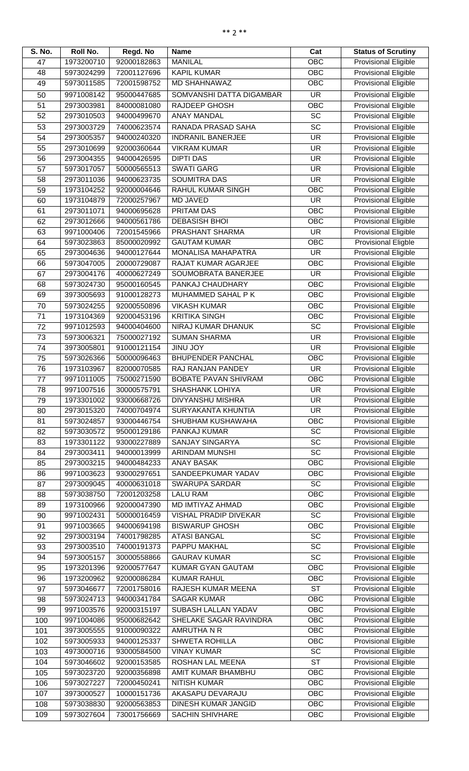| S. No. | Roll No.   | Regd. No    | <b>Name</b>                 | Cat                      | <b>Status of Scrutiny</b>   |
|--------|------------|-------------|-----------------------------|--------------------------|-----------------------------|
| 47     | 1973200710 | 92000182863 | <b>MANILAL</b>              | <b>OBC</b>               | <b>Provisional Eligible</b> |
| 48     | 5973024299 | 72001127696 | <b>KAPIL KUMAR</b>          | <b>OBC</b>               | <b>Provisional Eligible</b> |
| 49     | 5973011585 | 72001598752 | <b>MD SHAHNAWAZ</b>         | OBC                      | <b>Provisional Eligible</b> |
| 50     | 9971008142 | 95000447685 | SOMVANSHI DATTA DIGAMBAR    | $\overline{\mathsf{UR}}$ | <b>Provisional Eligible</b> |
| 51     | 2973003981 | 84000081080 | RAJDEEP GHOSH               | OBC                      | <b>Provisional Eligible</b> |
| 52     | 2973010503 | 94000499670 | <b>ANAY MANDAL</b>          | <b>SC</b>                | Provisional Eligible        |
| 53     | 2973003729 | 74000623574 | RANADA PRASAD SAHA          | $\overline{SC}$          | <b>Provisional Eligible</b> |
| 54     | 2973005357 | 94000240320 | <b>INDRANIL BANERJEE</b>    | <b>UR</b>                | <b>Provisional Eligible</b> |
| 55     | 2973010699 | 92000360644 | <b>VIKRAM KUMAR</b>         | <b>UR</b>                | <b>Provisional Eligible</b> |
| 56     | 2973004355 | 94000426595 | <b>DIPTI DAS</b>            | <b>UR</b>                | Provisional Eligible        |
| 57     | 5973017057 | 50000565513 | <b>SWATI GARG</b>           | <b>UR</b>                | <b>Provisional Eligible</b> |
| 58     | 2973011036 | 94000623735 | <b>SOUMITRA DAS</b>         | <b>UR</b>                | <b>Provisional Eligible</b> |
| 59     | 1973104252 | 92000004646 | RAHUL KUMAR SINGH           | OBC                      | Provisional Eligible        |
| 60     | 1973104879 | 72000257967 | <b>MD JAVED</b>             | <b>UR</b>                | <b>Provisional Eligible</b> |
| 61     | 2973011071 | 94000695628 | PRITAM DAS                  | <b>OBC</b>               | <b>Provisional Eligible</b> |
| 62     | 2973012666 | 94000561786 | <b>DEBASISH BHOI</b>        | OBC                      | Provisional Eligible        |
| 63     | 9971000406 | 72001545966 | PRASHANT SHARMA             | <b>UR</b>                | <b>Provisional Eligible</b> |
| 64     | 5973023863 | 85000020992 | <b>GAUTAM KUMAR</b>         | <b>OBC</b>               | <b>Provisional Eligble</b>  |
| 65     | 2973004636 | 94000127644 | <b>MONALISA MAHAPATRA</b>   | <b>UR</b>                | <b>Provisional Eligible</b> |
| 66     | 5973047005 | 20000729087 | RAJAT KUMAR AGARJEE         | OBC                      | <b>Provisional Eligible</b> |
| 67     | 2973004176 | 40000627249 | SOUMOBRATA BANERJEE         | <b>UR</b>                | <b>Provisional Eligible</b> |
| 68     | 5973024730 | 95000160545 | PANKAJ CHAUDHARY            | OBC                      | <b>Provisional Eligible</b> |
| 69     | 3973005693 | 91000128273 | MUHAMMED SAHAL P K          | OBC                      | Provisional Eligible        |
| 70     | 5973024255 | 92000550896 | <b>VIKASH KUMAR</b>         | <b>OBC</b>               | <b>Provisional Eligible</b> |
| 71     | 1973104369 | 92000453196 | <b>KRITIKA SINGH</b>        | OBC                      | <b>Provisional Eligible</b> |
| 72     | 9971012593 | 94000404600 | NIRAJ KUMAR DHANUK          | <b>SC</b>                | Provisional Eligible        |
| 73     | 5973006321 | 75000027192 | <b>SUMAN SHARMA</b>         | <b>UR</b>                | <b>Provisional Eligible</b> |
| 74     | 3973005801 | 91000121154 | <b>VOL UNIL</b>             | <b>UR</b>                | <b>Provisional Eligible</b> |
| 75     | 5973026366 | 50000096463 | <b>BHUPENDER PANCHAL</b>    | OBC                      | Provisional Eligible        |
| 76     | 1973103967 | 82000070585 | RAJ RANJAN PANDEY           | <b>UR</b>                | <b>Provisional Eligible</b> |
| 77     | 9971011005 | 75000271590 | <b>BOBATE PAVAN SHIVRAM</b> | OBC                      | <b>Provisional Eligible</b> |
| 78     | 9971007516 | 30000575791 | <b>SHASHANK LOHIYA</b>      | <b>UR</b>                | <b>Provisional Eligible</b> |
| 79     | 1973301002 | 93000668726 | <b>DIVYANSHU MISHRA</b>     | <b>UR</b>                | Provisional Eligible        |
| 80     | 2973015320 | 74000704974 | SURYAKANTA KHUNTIA          | <b>UR</b>                | <b>Provisional Eligible</b> |
| 81     | 5973024857 | 93000446754 | SHUBHAM KUSHAWAHA           | <b>OBC</b>               | <b>Provisional Eligible</b> |
| 82     | 5973030572 | 95000129186 | PANKAJ KUMAR                | $\overline{SC}$          | <b>Provisional Eligible</b> |
| 83     | 1973301122 | 93000227889 | <b>SANJAY SINGARYA</b>      | SC                       | <b>Provisional Eligible</b> |
| 84     | 2973003411 | 94000013999 | ARINDAM MUNSHI              | $\overline{SC}$          | <b>Provisional Eligible</b> |
| 85     | 2973003215 | 94000484233 | <b>ANAY BASAK</b>           | OBC                      | <b>Provisional Eligible</b> |
| 86     | 9971003623 | 93000297651 | SANDEEPKUMAR YADAV          | OBC                      | Provisional Eligible        |
| 87     | 2973009045 | 40000631018 | SWARUPA SARDAR              | $\overline{SC}$          | <b>Provisional Eligible</b> |
| 88     | 5973038750 | 72001203258 | <b>LALU RAM</b>             | OBC                      | <b>Provisional Eligible</b> |
| 89     | 1973100966 | 92000047390 | MD IMTIYAZ AHMAD            | <b>OBC</b>               | <b>Provisional Eligible</b> |
| 90     | 9971002431 | 50000016459 | VISHAL PRADIP DIVEKAR       | $\overline{SC}$          | <b>Provisional Eligible</b> |
| 91     | 9971003665 | 94000694198 | <b>BISWARUP GHOSH</b>       | $\overline{OBC}$         | <b>Provisional Eligible</b> |
| 92     | 2973003194 | 74001798285 | <b>ATASI BANGAL</b>         | SC                       | Provisional Eligible        |
| 93     | 2973003510 | 74000191373 | PAPPU MAKHAL                | $\overline{SC}$          | <b>Provisional Eligible</b> |
| 94     | 5973005157 | 30000558866 | <b>GAURAV KUMAR</b>         | <b>SC</b>                | <b>Provisional Eligible</b> |
| 95     | 1973201396 | 92000577647 | KUMAR GYAN GAUTAM           | OBC                      | <b>Provisional Eligible</b> |
| 96     | 1973200962 | 92000086284 | <b>KUMAR RAHUL</b>          | <b>OBC</b>               | Provisional Eligible        |
| 97     | 5973046677 | 72001758016 | RAJESH KUMAR MEENA          | <b>ST</b>                | <b>Provisional Eligible</b> |
| 98     | 5973024713 | 94000341784 | <b>SAGAR KUMAR</b>          | OBC                      | <b>Provisional Eligible</b> |
| 99     | 9971003576 | 92000315197 | SUBASH LALLAN YADAV         | OBC                      | Provisional Eligible        |
| 100    | 9971004086 | 95000682642 | SHELAKE SAGAR RAVINDRA      | OBC                      | Provisional Eligible        |
| 101    | 3973005555 | 91000090322 | AMRUTHA N R                 | <b>OBC</b>               | <b>Provisional Eligible</b> |
| 102    | 5973005933 | 94000125337 | <b>SHWETA ROHILLA</b>       | <b>OBC</b>               | <b>Provisional Eligible</b> |
| 103    | 4973000716 | 93000584500 | <b>VINAY KUMAR</b>          | SC                       | <b>Provisional Eligible</b> |
| 104    | 5973046602 | 92000153585 | ROSHAN LAL MEENA            | $\overline{\text{ST}}$   | <b>Provisional Eligible</b> |
| 105    | 5973023720 | 92000356898 | AMIT KUMAR BHAMBHU          | OBC                      | Provisional Eligible        |
| 106    | 5973027227 | 72000450241 | <b>NITISH KUMAR</b>         | OBC                      | <b>Provisional Eligible</b> |
| 107    | 3973000527 | 10000151736 | AKASAPU DEVARAJU            | OBC                      | Provisional Eligible        |
| 108    | 5973038830 | 92000563853 | DINESH KUMAR JANGID         | OBC                      | Provisional Eligible        |
| 109    | 5973027604 | 73001756669 | <b>SACHIN SHIVHARE</b>      | <b>OBC</b>               | <b>Provisional Eligible</b> |